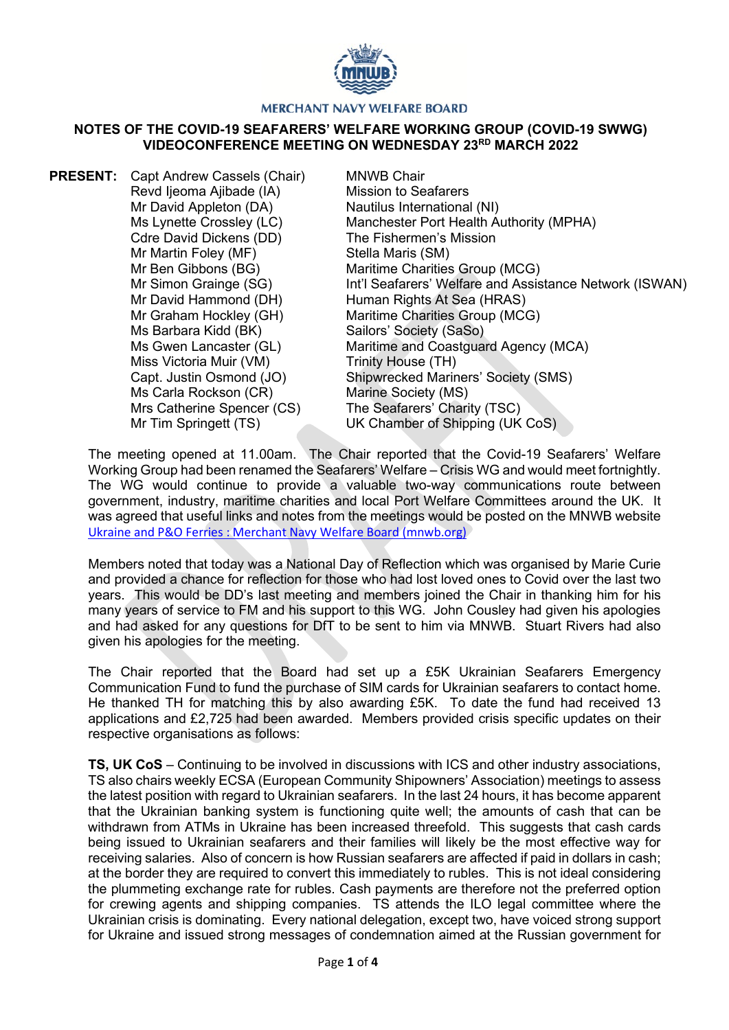

## **MERCHANT NAVY WELFARE BOARD**

## **NOTES OF THE COVID-19 SEAFARERS' WELFARE WORKING GROUP (COVID-19 SWWG) VIDEOCONFERENCE MEETING ON WEDNESDAY 23RD MARCH 2022**

**PRESENT:** Capt Andrew Cassels (Chair) Revd Ijeoma Ajibade (IA) Mr David Appleton (DA) Ms Lynette Crossley (LC) Cdre David Dickens (DD) Mr Martin Foley (MF) Mr Ben Gibbons (BG) Mr Simon Grainge (SG) Mr David Hammond (DH) Mr Graham Hockley (GH) Ms Barbara Kidd (BK) Ms Gwen Lancaster (GL) Miss Victoria Muir (VM) Capt. Justin Osmond (JO) MNWB Chair Mission to Seafarers Nautilus International (NI) Manchester Port Health Authority (MPHA) The Fishermen's Mission Stella Maris (SM) Maritime Charities Group (MCG) Int'l Seafarers' Welfare and Assistance Network (ISWAN) Human Rights At Sea (HRAS) Maritime Charities Group (MCG) Sailors' Society (SaSo) Maritime and Coastguard Agency (MCA) Trinity House (TH) Shipwrecked Mariners' Society (SMS) Ms Carla Rockson (CR) Mrs Catherine Spencer (CS) Mr Tim Springett (TS) Marine Society (MS) The Seafarers' Charity (TSC) UK Chamber of Shipping (UK CoS)

The meeting opened at 11.00am. The Chair reported that the Covid-19 Seafarers' Welfare Working Group had been renamed the Seafarers' Welfare – Crisis WG and would meet fortnightly. The WG would continue to provide a valuable two-way communications route between government, industry, maritime charities and local Port Welfare Committees around the UK. It was agreed that useful links and notes from the meetings would be posted on the MNWB website [Ukraine and P&O Ferries : Merchant Navy Welfare Board \(mnwb.org\)](https://www.mnwb.org/ukraineandpoferries)

Members noted that today was a National Day of Reflection which was organised by Marie Curie and provided a chance for reflection for those who had lost loved ones to Covid over the last two years. This would be DD's last meeting and members joined the Chair in thanking him for his many years of service to FM and his support to this WG. John Cousley had given his apologies and had asked for any questions for DfT to be sent to him via MNWB. Stuart Rivers had also given his apologies for the meeting.

The Chair reported that the Board had set up a £5K Ukrainian Seafarers Emergency Communication Fund to fund the purchase of SIM cards for Ukrainian seafarers to contact home. He thanked TH for matching this by also awarding £5K. To date the fund had received 13 applications and £2,725 had been awarded. Members provided crisis specific updates on their respective organisations as follows:

**TS, UK CoS** – Continuing to be involved in discussions with ICS and other industry associations, TS also chairs weekly ECSA (European Community Shipowners' Association) meetings to assess the latest position with regard to Ukrainian seafarers. In the last 24 hours, it has become apparent that the Ukrainian banking system is functioning quite well; the amounts of cash that can be withdrawn from ATMs in Ukraine has been increased threefold. This suggests that cash cards being issued to Ukrainian seafarers and their families will likely be the most effective way for receiving salaries. Also of concern is how Russian seafarers are affected if paid in dollars in cash; at the border they are required to convert this immediately to rubles. This is not ideal considering the plummeting exchange rate for rubles. Cash payments are therefore not the preferred option for crewing agents and shipping companies. TS attends the ILO legal committee where the Ukrainian crisis is dominating. Every national delegation, except two, have voiced strong support for Ukraine and issued strong messages of condemnation aimed at the Russian government for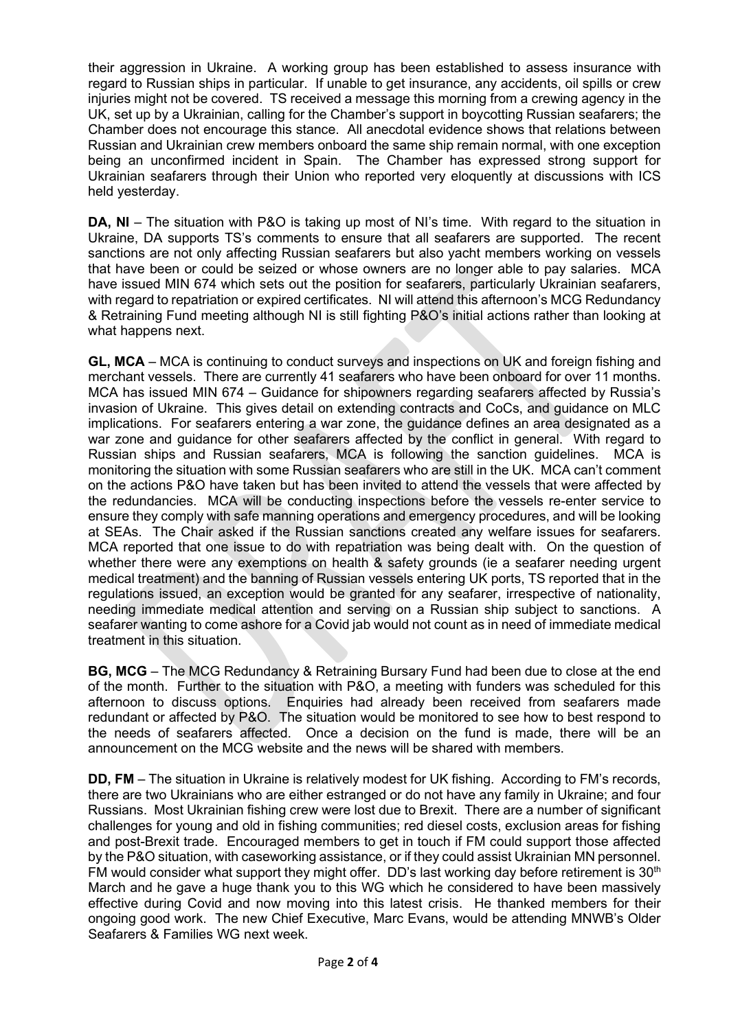their aggression in Ukraine. A working group has been established to assess insurance with regard to Russian ships in particular. If unable to get insurance, any accidents, oil spills or crew injuries might not be covered. TS received a message this morning from a crewing agency in the UK, set up by a Ukrainian, calling for the Chamber's support in boycotting Russian seafarers; the Chamber does not encourage this stance. All anecdotal evidence shows that relations between Russian and Ukrainian crew members onboard the same ship remain normal, with one exception being an unconfirmed incident in Spain. The Chamber has expressed strong support for Ukrainian seafarers through their Union who reported very eloquently at discussions with ICS held yesterday.

**DA, NI** – The situation with P&O is taking up most of NI's time. With regard to the situation in Ukraine, DA supports TS's comments to ensure that all seafarers are supported. The recent sanctions are not only affecting Russian seafarers but also yacht members working on vessels that have been or could be seized or whose owners are no longer able to pay salaries. MCA have issued MIN 674 which sets out the position for seafarers, particularly Ukrainian seafarers, with regard to repatriation or expired certificates. NI will attend this afternoon's MCG Redundancy & Retraining Fund meeting although NI is still fighting P&O's initial actions rather than looking at what happens next.

**GL, MCA** – MCA is continuing to conduct surveys and inspections on UK and foreign fishing and merchant vessels. There are currently 41 seafarers who have been onboard for over 11 months. MCA has issued MIN 674 – Guidance for shipowners regarding seafarers affected by Russia's invasion of Ukraine. This gives detail on extending contracts and CoCs, and guidance on MLC implications. For seafarers entering a war zone, the guidance defines an area designated as a war zone and quidance for other seafarers affected by the conflict in general. With regard to Russian ships and Russian seafarers, MCA is following the sanction guidelines. MCA is monitoring the situation with some Russian seafarers who are still in the UK. MCA can't comment on the actions P&O have taken but has been invited to attend the vessels that were affected by the redundancies. MCA will be conducting inspections before the vessels re-enter service to ensure they comply with safe manning operations and emergency procedures, and will be looking at SEAs. The Chair asked if the Russian sanctions created any welfare issues for seafarers. MCA reported that one issue to do with repatriation was being dealt with. On the question of whether there were any exemptions on health & safety grounds (ie a seafarer needing urgent medical treatment) and the banning of Russian vessels entering UK ports, TS reported that in the regulations issued, an exception would be granted for any seafarer, irrespective of nationality, needing immediate medical attention and serving on a Russian ship subject to sanctions. A seafarer wanting to come ashore for a Covid jab would not count as in need of immediate medical treatment in this situation.

**BG, MCG** – The MCG Redundancy & Retraining Bursary Fund had been due to close at the end of the month. Further to the situation with P&O, a meeting with funders was scheduled for this afternoon to discuss options. Enquiries had already been received from seafarers made redundant or affected by P&O. The situation would be monitored to see how to best respond to the needs of seafarers affected. Once a decision on the fund is made, there will be an announcement on the MCG website and the news will be shared with members.

**DD, FM** – The situation in Ukraine is relatively modest for UK fishing. According to FM's records, there are two Ukrainians who are either estranged or do not have any family in Ukraine; and four Russians. Most Ukrainian fishing crew were lost due to Brexit. There are a number of significant challenges for young and old in fishing communities; red diesel costs, exclusion areas for fishing and post-Brexit trade. Encouraged members to get in touch if FM could support those affected by the P&O situation, with caseworking assistance, or if they could assist Ukrainian MN personnel. FM would consider what support they might offer.  $DD$ 's last working day before retirement is 30<sup>th</sup> March and he gave a huge thank you to this WG which he considered to have been massively effective during Covid and now moving into this latest crisis. He thanked members for their ongoing good work. The new Chief Executive, Marc Evans, would be attending MNWB's Older Seafarers & Families WG next week.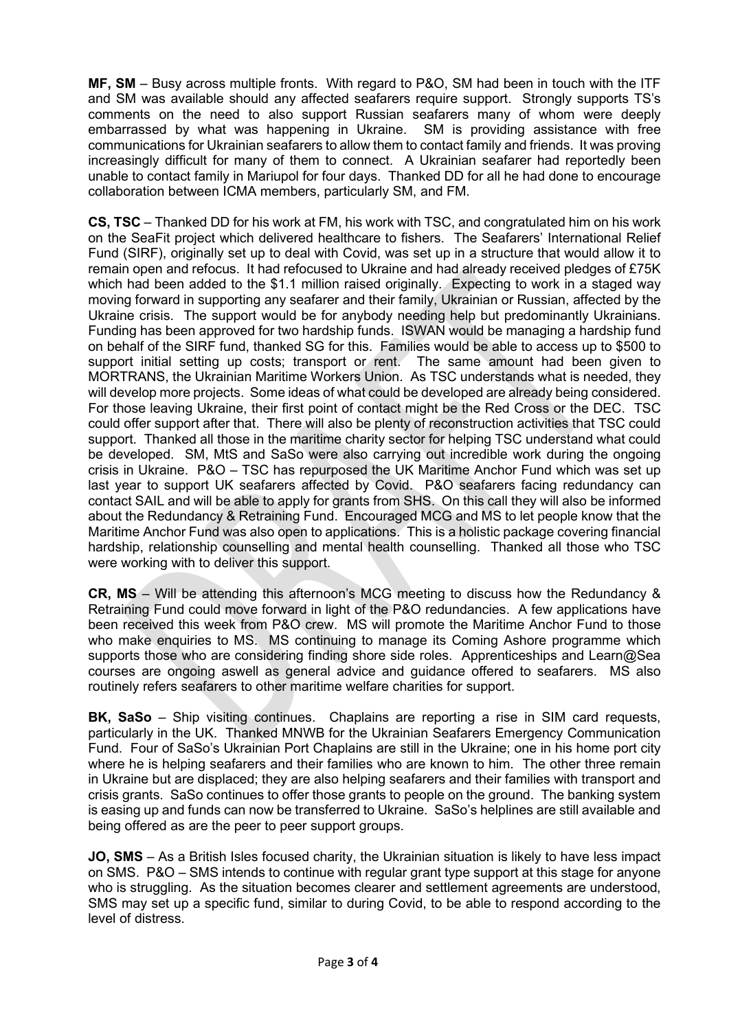**MF, SM** – Busy across multiple fronts. With regard to P&O, SM had been in touch with the ITF and SM was available should any affected seafarers require support. Strongly supports TS's comments on the need to also support Russian seafarers many of whom were deeply embarrassed by what was happening in Ukraine. SM is providing assistance with free communications for Ukrainian seafarers to allow them to contact family and friends. It was proving increasingly difficult for many of them to connect. A Ukrainian seafarer had reportedly been unable to contact family in Mariupol for four days. Thanked DD for all he had done to encourage collaboration between ICMA members, particularly SM, and FM.

**CS, TSC** – Thanked DD for his work at FM, his work with TSC, and congratulated him on his work on the SeaFit project which delivered healthcare to fishers. The Seafarers' International Relief Fund (SIRF), originally set up to deal with Covid, was set up in a structure that would allow it to remain open and refocus. It had refocused to Ukraine and had already received pledges of £75K which had been added to the \$1.1 million raised originally. Expecting to work in a staged way moving forward in supporting any seafarer and their family, Ukrainian or Russian, affected by the Ukraine crisis. The support would be for anybody needing help but predominantly Ukrainians. Funding has been approved for two hardship funds. ISWAN would be managing a hardship fund on behalf of the SIRF fund, thanked SG for this. Families would be able to access up to \$500 to support initial setting up costs; transport or rent. The same amount had been given to MORTRANS, the Ukrainian Maritime Workers Union. As TSC understands what is needed, they will develop more projects. Some ideas of what could be developed are already being considered. For those leaving Ukraine, their first point of contact might be the Red Cross or the DEC. TSC could offer support after that. There will also be plenty of reconstruction activities that TSC could support. Thanked all those in the maritime charity sector for helping TSC understand what could be developed. SM, MtS and SaSo were also carrying out incredible work during the ongoing crisis in Ukraine. P&O – TSC has repurposed the UK Maritime Anchor Fund which was set up last year to support UK seafarers affected by Covid. P&O seafarers facing redundancy can contact SAIL and will be able to apply for grants from SHS. On this call they will also be informed about the Redundancy & Retraining Fund. Encouraged MCG and MS to let people know that the Maritime Anchor Fund was also open to applications. This is a holistic package covering financial hardship, relationship counselling and mental health counselling. Thanked all those who TSC were working with to deliver this support.

**CR, MS** – Will be attending this afternoon's MCG meeting to discuss how the Redundancy & Retraining Fund could move forward in light of the P&O redundancies. A few applications have been received this week from P&O crew. MS will promote the Maritime Anchor Fund to those who make enquiries to MS. MS continuing to manage its Coming Ashore programme which supports those who are considering finding shore side roles. Apprenticeships and Learn@Sea courses are ongoing aswell as general advice and guidance offered to seafarers. MS also routinely refers seafarers to other maritime welfare charities for support.

**BK, SaSo** – Ship visiting continues. Chaplains are reporting a rise in SIM card requests, particularly in the UK. Thanked MNWB for the Ukrainian Seafarers Emergency Communication Fund. Four of SaSo's Ukrainian Port Chaplains are still in the Ukraine; one in his home port city where he is helping seafarers and their families who are known to him. The other three remain in Ukraine but are displaced; they are also helping seafarers and their families with transport and crisis grants. SaSo continues to offer those grants to people on the ground. The banking system is easing up and funds can now be transferred to Ukraine. SaSo's helplines are still available and being offered as are the peer to peer support groups.

**JO, SMS** – As a British Isles focused charity, the Ukrainian situation is likely to have less impact on SMS. P&O – SMS intends to continue with regular grant type support at this stage for anyone who is struggling. As the situation becomes clearer and settlement agreements are understood, SMS may set up a specific fund, similar to during Covid, to be able to respond according to the level of distress.